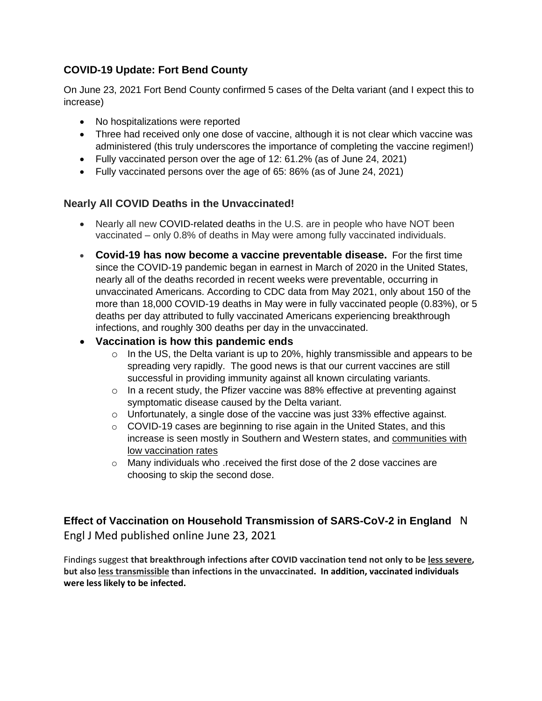## **COVID-19 Update: Fort Bend County**

On June 23, 2021 Fort Bend County confirmed 5 cases of the Delta variant (and I expect this to increase)

- No hospitalizations were reported
- Three had received only one dose of vaccine, although it is not clear which vaccine was administered (this truly underscores the importance of completing the vaccine regimen!)
- Fully vaccinated person over the age of 12: 61.2% (as of June 24, 2021)
- Fully vaccinated persons over the age of 65: 86% (as of June 24, 2021)

### **Nearly All COVID Deaths in the Unvaccinated!**

- Nearly all new [COVID-related deaths](https://apnews.com/article/coronavirus-pandemic-health-941fcf43d9731c76c16e7354f5d5e187?utm_campaign=SocialFlow&utm_medium=AP&utm_source=Twitter) in the U.S. are in people who have NOT been vaccinated – only 0.8% of deaths in May were among fully vaccinated individuals.
- **Covid-19 has now become a vaccine preventable disease.** For the first time since the COVID-19 pandemic began in earnest in March of 2020 in the United States, nearly all of the deaths recorded in recent weeks were preventable, occurring in unvaccinated Americans. According to CDC data from May 2021, only about 150 of the more than 18,000 COVID-19 deaths in May were in fully vaccinated people (0.83%), or 5 deaths per day attributed to fully vaccinated Americans experiencing breakthrough infections, and roughly 300 deaths per day in the unvaccinated.

#### **Vaccination is how this pandemic ends**

- o In the US, the Delta variant is up to 20%, highly transmissible and appears to be spreading very rapidly. The good news is that our current vaccines are still successful in providing immunity against all known circulating variants.
- $\circ$  In a recent study, the Pfizer vaccine was 88% effective at preventing against symptomatic disease caused by the Delta variant.
- $\circ$  Unfortunately, a single dose of the vaccine was just 33% effective against.
- $\circ$  COVID-19 cases are beginning to rise again in the United States, and this increase is seen mostly in Southern and Western states, and communities with low vaccination rates
- o Many individuals who .received the first dose of the 2 dose vaccines are choosing to skip the second dose.

# **Effect of Vaccination on Household Transmission of SARS-CoV-2 in England** N Engl J Med published online June 23, 2021

Findings suggest **that breakthrough infections after COVID vaccination tend not only to be less severe, but also less transmissible than infections in the unvaccinated. In addition, vaccinated individuals were less likely to be infected.**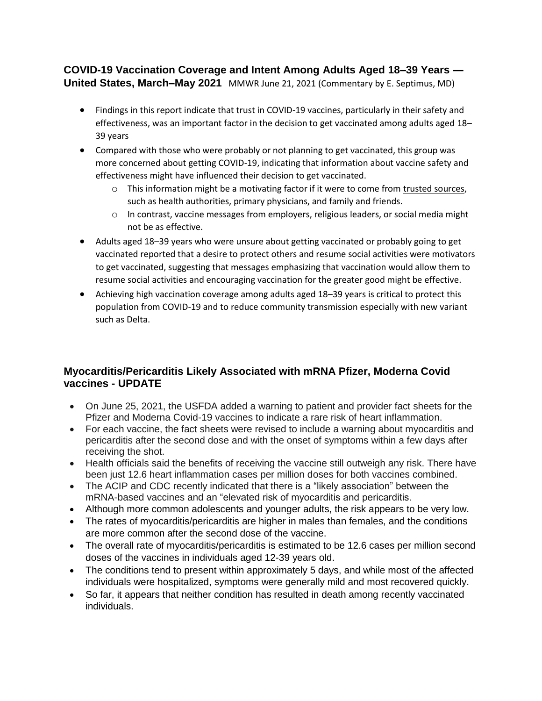### **COVID-19 Vaccination Coverage and Intent Among Adults Aged 18–39 Years — United States, March–May 2021** MMWR June 21, 2021 (Commentary by E. Septimus, MD)

- Findings in this report indicate that trust in COVID-19 vaccines, particularly in their safety and effectiveness, was an important factor in the decision to get vaccinated among adults aged 18– 39 years
- Compared with those who were probably or not planning to get vaccinated, this group was more concerned about getting COVID-19, indicating that information about vaccine safety and effectiveness might have influenced their decision to get vaccinated.
	- $\circ$  This information might be a motivating factor if it were to come from trusted sources, such as health authorities, primary physicians, and family and friends.
	- o In contrast, vaccine messages from employers, religious leaders, or social media might not be as effective.
- Adults aged 18–39 years who were unsure about getting vaccinated or probably going to get vaccinated reported that a desire to protect others and resume social activities were motivators to get vaccinated, suggesting that messages emphasizing that vaccination would allow them to resume social activities and encouraging vaccination for the greater good might be effective.
- Achieving high vaccination coverage among adults aged 18–39 years is critical to protect this population from COVID-19 and to reduce community transmission especially with new variant such as Delta.

### **Myocarditis/Pericarditis Likely Associated with mRNA Pfizer, Moderna Covid vaccines - UPDATE**

- On June 25, 2021, the USFDA added a warning to patient and provider fact sheets for the Pfizer and Moderna Covid-19 vaccines to indicate a rare risk of heart inflammation.
- For each vaccine, the fact sheets were revised to include a warning about myocarditis and pericarditis after the second dose and with the onset of symptoms within a few days after receiving the shot.
- Health officials said the benefits of receiving the vaccine still outweigh any risk. There have been just 12.6 heart inflammation cases per million doses for both vaccines combined.
- The ACIP and CDC recently indicated that there is a "likely association" between the mRNA-based vaccines and an "elevated risk of myocarditis and pericarditis.
- Although more common adolescents and younger adults, the risk appears to be very low.
- The rates of myocarditis/pericarditis are higher in males than females, and the conditions are more common after the second dose of the vaccine.
- The overall rate of myocarditis/pericarditis is estimated to be 12.6 cases per million second [doses](https://r20.rs6.net/tn.jsp?f=001uMDFj-cEgZusYdG3C3jsOOS8QZsSrX7a2wWtIuz6nAtz4cYJpK8LAAutL0GZ3cPyhbcFPFNWmOPaS5BEBv-UD93N07rxH0kzNlG7r9haUCSpuIOfbv7iHo-lE1BWgpESVGTTB1CvlYmWbTxylnepPxy3ns7PtLCdWrJ9EpWVHOe_t6j_SlHTKAeIWrUp_02LGX8FxYNwZDBDRWcuXjHmfDZaKnquiFpeDA31_7bApgPOUaoz5D3Bfqan-_rxDJ2-esBL-6XGzpM=&c=cD6WYXf79Ch3R1W0Q75Rztuv4ODQt-YD30FVetYPcCWxO6UdrVvVVA==&ch=Il74MP-VyFqWVx7B-mHu3-ADserH0N4Tl72BBk4bYPhpcUHS3h_tQA==) of the vaccines in individuals aged 12-39 years old.
- The conditions tend to present within approximately 5 days, and while most of the affected individuals were hospitalized, symptoms were generally mild and most recovered quickly.
- So far, it appears that neither condition has resulted in death among recently vaccinated individuals.